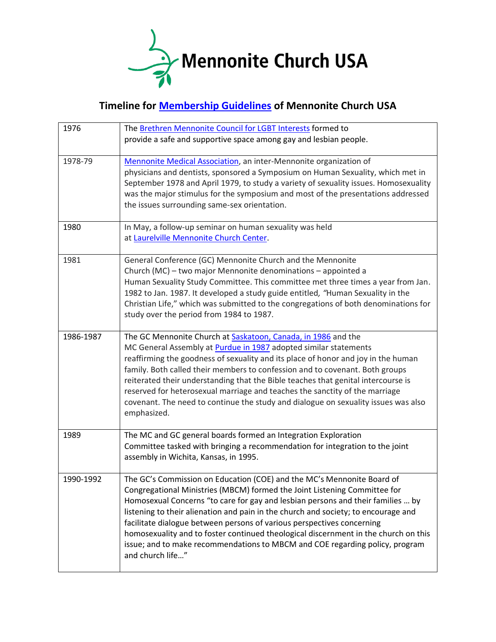

## **Timeline for [Membership Guidelines](https://mennoniteusa.org/wp-content/uploads/2015/03/MembershipGuidelines_2013_July.pdf) of Mennonite Church USA**

| 1976      | The Brethren Mennonite Council for LGBT Interests formed to<br>provide a safe and supportive space among gay and lesbian people.                                                                                                                                                                                                                                                                                                                                                                                                                                                                  |
|-----------|---------------------------------------------------------------------------------------------------------------------------------------------------------------------------------------------------------------------------------------------------------------------------------------------------------------------------------------------------------------------------------------------------------------------------------------------------------------------------------------------------------------------------------------------------------------------------------------------------|
| 1978-79   | Mennonite Medical Association, an inter-Mennonite organization of<br>physicians and dentists, sponsored a Symposium on Human Sexuality, which met in<br>September 1978 and April 1979, to study a variety of sexuality issues. Homosexuality<br>was the major stimulus for the symposium and most of the presentations addressed<br>the issues surrounding same-sex orientation.                                                                                                                                                                                                                  |
| 1980      | In May, a follow-up seminar on human sexuality was held<br>at Laurelville Mennonite Church Center.                                                                                                                                                                                                                                                                                                                                                                                                                                                                                                |
| 1981      | General Conference (GC) Mennonite Church and the Mennonite<br>Church (MC) - two major Mennonite denominations - appointed a<br>Human Sexuality Study Committee. This committee met three times a year from Jan.<br>1982 to Jan. 1987. It developed a study guide entitled, "Human Sexuality in the<br>Christian Life," which was submitted to the congregations of both denominations for<br>study over the period from 1984 to 1987.                                                                                                                                                             |
| 1986-1987 | The GC Mennonite Church at <b>Saskatoon</b> , Canada, in 1986 and the<br>MC General Assembly at <b>Purdue in 1987</b> adopted similar statements<br>reaffirming the goodness of sexuality and its place of honor and joy in the human<br>family. Both called their members to confession and to covenant. Both groups<br>reiterated their understanding that the Bible teaches that genital intercourse is<br>reserved for heterosexual marriage and teaches the sanctity of the marriage<br>covenant. The need to continue the study and dialogue on sexuality issues was also<br>emphasized.    |
| 1989      | The MC and GC general boards formed an Integration Exploration<br>Committee tasked with bringing a recommendation for integration to the joint<br>assembly in Wichita, Kansas, in 1995.                                                                                                                                                                                                                                                                                                                                                                                                           |
| 1990-1992 | The GC's Commission on Education (COE) and the MC's Mennonite Board of<br>Congregational Ministries (MBCM) formed the Joint Listening Committee for<br>Homosexual Concerns "to care for gay and lesbian persons and their families  by<br>listening to their alienation and pain in the church and society; to encourage and<br>facilitate dialogue between persons of various perspectives concerning<br>homosexuality and to foster continued theological discernment in the church on this<br>issue; and to make recommendations to MBCM and COE regarding policy, program<br>and church life" |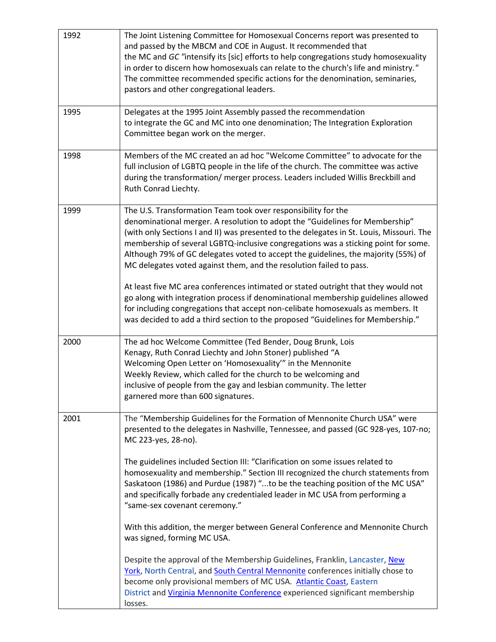| 1992 | The Joint Listening Committee for Homosexual Concerns report was presented to<br>and passed by the MBCM and COE in August. It recommended that<br>the MC and GC "intensify its [sic] efforts to help congregations study homosexuality<br>in order to discern how homosexuals can relate to the church's life and ministry."<br>The committee recommended specific actions for the denomination, seminaries,<br>pastors and other congregational leaders.                                                                                                                                                                                                                                                                                                                                                                                                                                                                 |
|------|---------------------------------------------------------------------------------------------------------------------------------------------------------------------------------------------------------------------------------------------------------------------------------------------------------------------------------------------------------------------------------------------------------------------------------------------------------------------------------------------------------------------------------------------------------------------------------------------------------------------------------------------------------------------------------------------------------------------------------------------------------------------------------------------------------------------------------------------------------------------------------------------------------------------------|
| 1995 | Delegates at the 1995 Joint Assembly passed the recommendation<br>to integrate the GC and MC into one denomination; The Integration Exploration<br>Committee began work on the merger.                                                                                                                                                                                                                                                                                                                                                                                                                                                                                                                                                                                                                                                                                                                                    |
| 1998 | Members of the MC created an ad hoc "Welcome Committee" to advocate for the<br>full inclusion of LGBTQ people in the life of the church. The committee was active<br>during the transformation/ merger process. Leaders included Willis Breckbill and<br>Ruth Conrad Liechty.                                                                                                                                                                                                                                                                                                                                                                                                                                                                                                                                                                                                                                             |
| 1999 | The U.S. Transformation Team took over responsibility for the<br>denominational merger. A resolution to adopt the "Guidelines for Membership"<br>(with only Sections I and II) was presented to the delegates in St. Louis, Missouri. The<br>membership of several LGBTQ-inclusive congregations was a sticking point for some.<br>Although 79% of GC delegates voted to accept the guidelines, the majority (55%) of<br>MC delegates voted against them, and the resolution failed to pass.<br>At least five MC area conferences intimated or stated outright that they would not<br>go along with integration process if denominational membership guidelines allowed<br>for including congregations that accept non-celibate homosexuals as members. It<br>was decided to add a third section to the proposed "Guidelines for Membership."                                                                             |
| 2000 | The ad hoc Welcome Committee (Ted Bender, Doug Brunk, Lois<br>Kenagy, Ruth Conrad Liechty and John Stoner) published "A<br>Welcoming Open Letter on 'Homosexuality'" in the Mennonite<br>Weekly Review, which called for the church to be welcoming and<br>inclusive of people from the gay and lesbian community. The letter<br>garnered more than 600 signatures.                                                                                                                                                                                                                                                                                                                                                                                                                                                                                                                                                       |
| 2001 | The "Membership Guidelines for the Formation of Mennonite Church USA" were<br>presented to the delegates in Nashville, Tennessee, and passed (GC 928-yes, 107-no;<br>MC 223-yes, 28-no).<br>The guidelines included Section III: "Clarification on some issues related to<br>homosexuality and membership." Section III recognized the church statements from<br>Saskatoon (1986) and Purdue (1987) "to be the teaching position of the MC USA"<br>and specifically forbade any credentialed leader in MC USA from performing a<br>"same-sex covenant ceremony."<br>With this addition, the merger between General Conference and Mennonite Church<br>was signed, forming MC USA.<br>Despite the approval of the Membership Guidelines, Franklin, Lancaster, New<br>York, North Central, and South Central Mennonite conferences initially chose to<br>become only provisional members of MC USA. Atlantic Coast, Eastern |
|      | District and Virginia Mennonite Conference experienced significant membership<br>losses.                                                                                                                                                                                                                                                                                                                                                                                                                                                                                                                                                                                                                                                                                                                                                                                                                                  |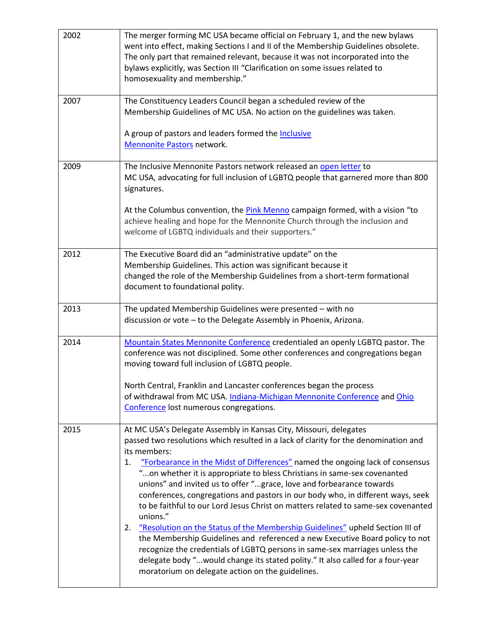| 2002 | The merger forming MC USA became official on February 1, and the new bylaws<br>went into effect, making Sections I and II of the Membership Guidelines obsolete.<br>The only part that remained relevant, because it was not incorporated into the<br>bylaws explicitly, was Section III "Clarification on some issues related to<br>homosexuality and membership."                                                                                                                                                                                                                                                                                                                                                                                                                                                                                                                                                                                                                                 |
|------|-----------------------------------------------------------------------------------------------------------------------------------------------------------------------------------------------------------------------------------------------------------------------------------------------------------------------------------------------------------------------------------------------------------------------------------------------------------------------------------------------------------------------------------------------------------------------------------------------------------------------------------------------------------------------------------------------------------------------------------------------------------------------------------------------------------------------------------------------------------------------------------------------------------------------------------------------------------------------------------------------------|
| 2007 | The Constituency Leaders Council began a scheduled review of the<br>Membership Guidelines of MC USA. No action on the guidelines was taken.<br>A group of pastors and leaders formed the Inclusive<br>Mennonite Pastors network.                                                                                                                                                                                                                                                                                                                                                                                                                                                                                                                                                                                                                                                                                                                                                                    |
| 2009 | The Inclusive Mennonite Pastors network released an open letter to<br>MC USA, advocating for full inclusion of LGBTQ people that garnered more than 800<br>signatures.<br>At the Columbus convention, the Pink Menno campaign formed, with a vision "to<br>achieve healing and hope for the Mennonite Church through the inclusion and<br>welcome of LGBTQ individuals and their supporters."                                                                                                                                                                                                                                                                                                                                                                                                                                                                                                                                                                                                       |
| 2012 | The Executive Board did an "administrative update" on the<br>Membership Guidelines. This action was significant because it<br>changed the role of the Membership Guidelines from a short-term formational<br>document to foundational polity.                                                                                                                                                                                                                                                                                                                                                                                                                                                                                                                                                                                                                                                                                                                                                       |
| 2013 | The updated Membership Guidelines were presented - with no<br>discussion or vote - to the Delegate Assembly in Phoenix, Arizona.                                                                                                                                                                                                                                                                                                                                                                                                                                                                                                                                                                                                                                                                                                                                                                                                                                                                    |
| 2014 | Mountain States Mennonite Conference credentialed an openly LGBTQ pastor. The<br>conference was not disciplined. Some other conferences and congregations began<br>moving toward full inclusion of LGBTQ people.<br>North Central, Franklin and Lancaster conferences began the process<br>of withdrawal from MC USA. Indiana-Michigan Mennonite Conference and Ohio<br>Conference lost numerous congregations.                                                                                                                                                                                                                                                                                                                                                                                                                                                                                                                                                                                     |
| 2015 | At MC USA's Delegate Assembly in Kansas City, Missouri, delegates<br>passed two resolutions which resulted in a lack of clarity for the denomination and<br>its members:<br>"Forbearance in the Midst of Differences" named the ongoing lack of consensus<br>1.<br>"on whether it is appropriate to bless Christians in same-sex covenanted<br>unions" and invited us to offer "grace, love and forbearance towards<br>conferences, congregations and pastors in our body who, in different ways, seek<br>to be faithful to our Lord Jesus Christ on matters related to same-sex covenanted<br>unions."<br>"Resolution on the Status of the Membership Guidelines" upheld Section III of<br>2.<br>the Membership Guidelines and referenced a new Executive Board policy to not<br>recognize the credentials of LGBTQ persons in same-sex marriages unless the<br>delegate body "would change its stated polity." It also called for a four-year<br>moratorium on delegate action on the guidelines. |